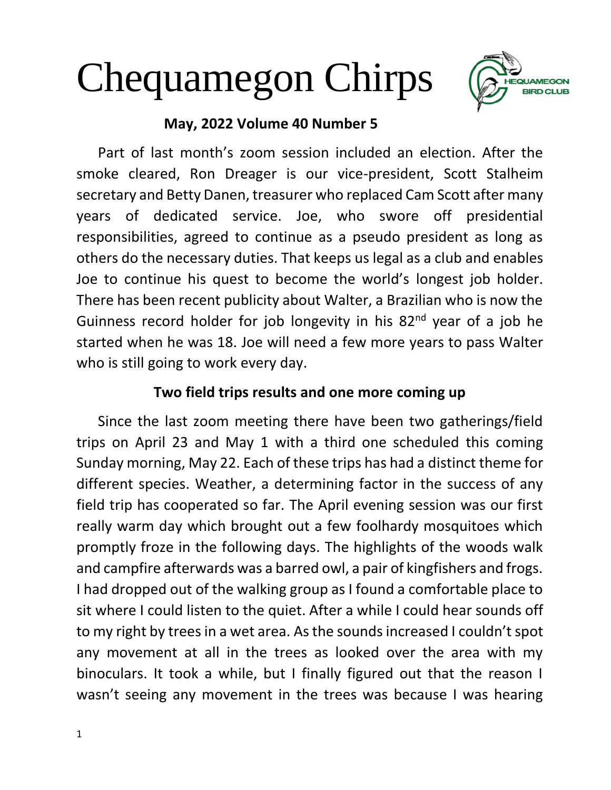# Chequamegon Chirps



# **May, 2022 Volume 40 Number 5**

 Part of last month's zoom session included an election. After the smoke cleared, Ron Dreager is our vice-president, Scott Stalheim secretary and Betty Danen, treasurer who replaced Cam Scott after many years of dedicated service. Joe, who swore off presidential responsibilities, agreed to continue as a pseudo president as long as others do the necessary duties. That keeps us legal as a club and enables Joe to continue his quest to become the world's longest job holder. There has been recent publicity about Walter, a Brazilian who is now the Guinness record holder for job longevity in his  $82<sup>nd</sup>$  year of a job he started when he was 18. Joe will need a few more years to pass Walter who is still going to work every day.

## **Two field trips results and one more coming up**

Since the last zoom meeting there have been two gatherings/field trips on April 23 and May 1 with a third one scheduled this coming Sunday morning, May 22. Each of these trips has had a distinct theme for different species. Weather, a determining factor in the success of any field trip has cooperated so far. The April evening session was our first really warm day which brought out a few foolhardy mosquitoes which promptly froze in the following days. The highlights of the woods walk and campfire afterwards was a barred owl, a pair of kingfishers and frogs. I had dropped out of the walking group as I found a comfortable place to sit where I could listen to the quiet. After a while I could hear sounds off to my right by trees in a wet area. As the sounds increased I couldn't spot any movement at all in the trees as looked over the area with my binoculars. It took a while, but I finally figured out that the reason I wasn't seeing any movement in the trees was because I was hearing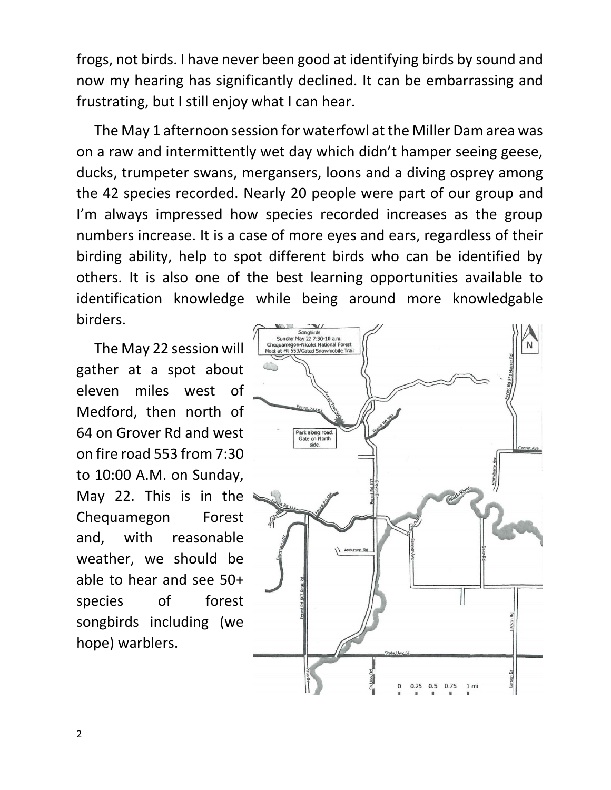frogs, not birds. I have never been good at identifying birds by sound and now my hearing has significantly declined. It can be embarrassing and frustrating, but I still enjoy what I can hear.

 The May 1 afternoon session for waterfowl at the Miller Dam area was on a raw and intermittently wet day which didn't hamper seeing geese, ducks, trumpeter swans, mergansers, loons and a diving osprey among the 42 species recorded. Nearly 20 people were part of our group and I'm always impressed how species recorded increases as the group numbers increase. It is a case of more eyes and ears, regardless of their birding ability, help to spot different birds who can be identified by others. It is also one of the best learning opportunities available to identification knowledge while being around more knowledgable birders.

 The May 22 session will gather at a spot about eleven miles west of Medford, then north of 64 on Grover Rd and west on fire road 553 from 7:30 to 10:00 A.M. on Sunday, May 22. This is in the Chequamegon Forest and, with reasonable weather, we should be able to hear and see 50+ species of forest songbirds including (we hope) warblers.

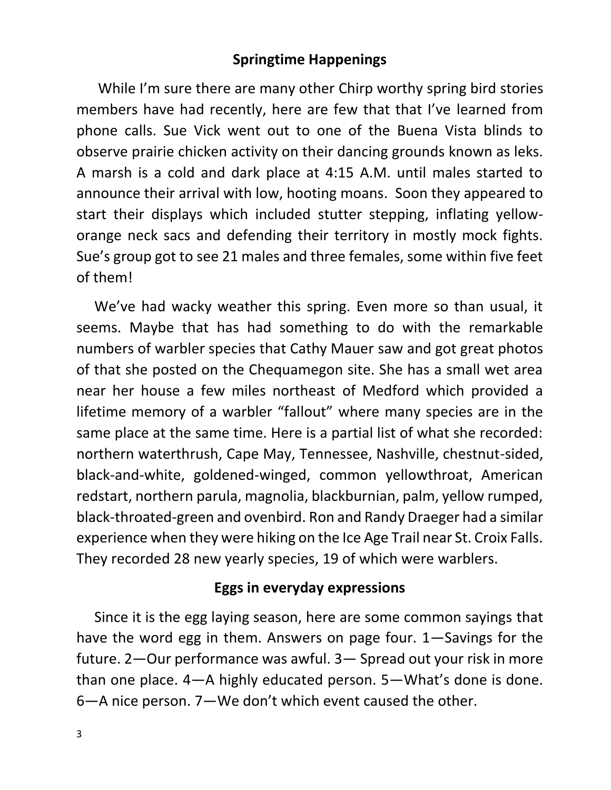## **Springtime Happenings**

 While I'm sure there are many other Chirp worthy spring bird stories members have had recently, here are few that that I've learned from phone calls. Sue Vick went out to one of the Buena Vista blinds to observe prairie chicken activity on their dancing grounds known as leks. A marsh is a cold and dark place at 4:15 A.M. until males started to announce their arrival with low, hooting moans. Soon they appeared to start their displays which included stutter stepping, inflating yelloworange neck sacs and defending their territory in mostly mock fights. Sue's group got to see 21 males and three females, some within five feet of them!

 We've had wacky weather this spring. Even more so than usual, it seems. Maybe that has had something to do with the remarkable numbers of warbler species that Cathy Mauer saw and got great photos of that she posted on the Chequamegon site. She has a small wet area near her house a few miles northeast of Medford which provided a lifetime memory of a warbler "fallout" where many species are in the same place at the same time. Here is a partial list of what she recorded: northern waterthrush, Cape May, Tennessee, Nashville, chestnut-sided, black-and-white, goldened-winged, common yellowthroat, American redstart, northern parula, magnolia, blackburnian, palm, yellow rumped, black-throated-green and ovenbird. Ron and Randy Draeger had a similar experience when they were hiking on the Ice Age Trail near St. Croix Falls. They recorded 28 new yearly species, 19 of which were warblers.

### **Eggs in everyday expressions**

 Since it is the egg laying season, here are some common sayings that have the word egg in them. Answers on page four. 1—Savings for the future. 2—Our performance was awful. 3— Spread out your risk in more than one place. 4—A highly educated person. 5—What's done is done. 6—A nice person. 7—We don't which event caused the other.